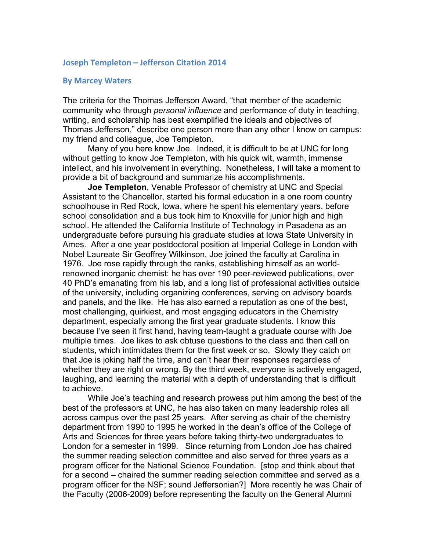## **Joseph Templeton – Jefferson Citation 2014**

## **By Marcey Waters**

The criteria for the Thomas Jefferson Award, "that member of the academic community who through *personal influence* and performance of duty in teaching, writing, and scholarship has best exemplified the ideals and objectives of Thomas Jefferson," describe one person more than any other I know on campus: my friend and colleague, Joe Templeton.

Many of you here know Joe. Indeed, it is difficult to be at UNC for long without getting to know Joe Templeton, with his quick wit, warmth, immense intellect, and his involvement in everything. Nonetheless, I will take a moment to provide a bit of background and summarize his accomplishments.

**Joe Templeton**, Venable Professor of chemistry at UNC and Special Assistant to the Chancellor, started his formal education in a one room country schoolhouse in Red Rock, Iowa, where he spent his elementary years, before school consolidation and a bus took him to Knoxville for junior high and high school. He attended the California Institute of Technology in Pasadena as an undergraduate before pursuing his graduate studies at Iowa State University in Ames. After a one year postdoctoral position at Imperial College in London with Nobel Laureate Sir Geoffrey Wilkinson, Joe joined the faculty at Carolina in 1976. Joe rose rapidly through the ranks, establishing himself as an worldrenowned inorganic chemist: he has over 190 peer-reviewed publications, over 40 PhD's emanating from his lab, and a long list of professional activities outside of the university, including organizing conferences, serving on advisory boards and panels, and the like. He has also earned a reputation as one of the best, most challenging, quirkiest, and most engaging educators in the Chemistry department, especially among the first year graduate students. I know this because I've seen it first hand, having team-taught a graduate course with Joe multiple times. Joe likes to ask obtuse questions to the class and then call on students, which intimidates them for the first week or so. Slowly they catch on that Joe is joking half the time, and can't hear their responses regardless of whether they are right or wrong. By the third week, everyone is actively engaged, laughing, and learning the material with a depth of understanding that is difficult to achieve.

While Joe's teaching and research prowess put him among the best of the best of the professors at UNC, he has also taken on many leadership roles all across campus over the past 25 years. After serving as chair of the chemistry department from 1990 to 1995 he worked in the dean's office of the College of Arts and Sciences for three years before taking thirty-two undergraduates to London for a semester in 1999. Since returning from London Joe has chaired the summer reading selection committee and also served for three years as a program officer for the National Science Foundation. [stop and think about that for a second – chaired the summer reading selection committee and served as a program officer for the NSF; sound Jeffersonian?] More recently he was Chair of the Faculty (2006-2009) before representing the faculty on the General Alumni